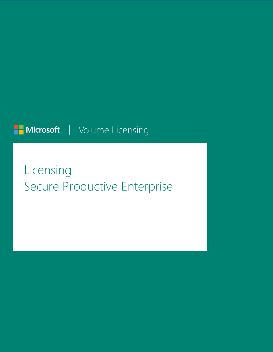## Microsoft | Volume Licensing

# Licensing Secure Productive Enterprise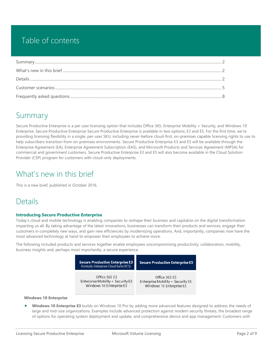### Table of contents

### <span id="page-1-0"></span>Summary

Secure Productive Enterprise is a per user licensing option that includes Office 365, Enterprise Mobility + Security, and Windows 10 Enterprise. Secure Productive Enterprise Secure Productive Enterprise is available in two options, E3 and E5. For the first time, we're providing licensing flexibility in a single, per-user SKU, including never-before cloud-first, on-premises capable licensing rights to use to help subscribers transition from on-premises environments. Secure Productive Enterprise E3 and E5 will be available through the Enterprise Agreement (EA), Enterprise Agreement Subscription (EAS), and Microsoft Products and Services Agreement (MPSA) for commercial and government customers. Secure Productive Enterprise E3 and E5 will also become available in the Cloud Solution Provider (CSP) program for customers with cloud-only deployments.

### <span id="page-1-1"></span>What's new in this brief

This is a new brief, published in October 2016.

### <span id="page-1-2"></span>**Details**

#### **Introducing Secure Productive Enterprise**

Today's cloud and mobile technology is enabling companies to reshape their business and capitalize on the digital transformation impacting us all. By taking advantage of the latest innovations, businesses can transform their products and services, engage their customers in completely new ways, and gain new efficiencies by modernizing operations. And, importantly, companies now have the most advanced technology at hand to empower their employees to achieve more.

The following included products and services together enable employees uncompromising productivity, collaboration, mobility, business insights and, perhaps most importantly, a secure experience.

| <b>Secure Productive Enterprise E3</b><br>Formally Enterprise Cloud Suite (ECS) | <b>Secure Productive Enterprise E5</b> |
|---------------------------------------------------------------------------------|----------------------------------------|
| Office 365 E3                                                                   | Office 365 F5                          |
| Enterprise Mobility + Security E3                                               | Enterprise Mobility + Security E5      |
| Windows 10 Enterprise E3                                                        | Windows 10 Enterprise E5               |

#### **Windows 10 Enterprise**

 **Windows 10 Enterprise E3** builds on Windows 10 Pro by adding more advanced features designed to address the needs of large and mid-size organizations. Examples include advanced protection against modern security threats, the broadest range of options for operating system deployment and update, and comprehensive device and app management. Customers with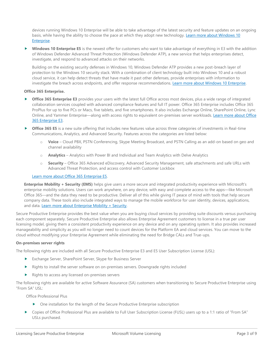devices running Windows 10 Enterprise will be able to take advantage of the latest security and feature updates on an ongoing basis, while having the ability to choose the pace at which they adopt new technology. [Learn more about Windows 10](https://www.microsoft.com/en-us/Licensing/product-licensing/windows10.aspx)  [Enterprise.](https://www.microsoft.com/en-us/Licensing/product-licensing/windows10.aspx)

 **Windows 10 Enterprise E5** is the newest offer for customers who want to take advantage of everything in E3 with the addition of Windows Defender Advanced Threat Protection (Windows Defender ATP), a new service that helps enterprises detect, investigate, and respond to advanced attacks on their networks.

Building on the existing security defenses in Windows 10, Windows Defender ATP provides a new post-breach layer of protection to the Windows 10 security stack. With a combination of client technology built into Windows 10 and a robust cloud service, it can help detect threats that have made it past other defenses, provide enterprises with information to investigate the breach across endpoints, and offer response recommendations. [Learn more about Windows 10 Enterprise.](https://www.microsoft.com/en-us/Licensing/product-licensing/windows10.aspx)

#### **Office 365 Enterprise.**

- **Office 365 Enterprise E3** provides your users with the latest full Office across most devices, plus a wide range of integrated collaboration services coupled with advanced compliance features and full IT power. Office 365 Enterprise includes Office 365 ProPlus for up to five PCs or Macs, five tablets, and five smartphones. It also includes Exchange Online, SharePoint Online, Lync Online, and Yammer Enterprise—along with access rights to equivalent on-premises server workloads. Learn more about Office [365 Enterprise E3.](http://products.office.com/en-us/business/office-365-enterprise-e3-business-software)
- **Office 365 E5** is a new suite offering that includes new features value across three categories of investments in Real-time Communications, Analytics, and Advanced Security. Features across the categories are listed below:
	- o **Voice** Cloud PBX, PSTN Conferencing, Skype Meeting Broadcast, and PSTN Calling as an add-on based on geo and channel availability
	- o **Analytics** Analytics with Power BI and Individual and Team Analytics with Delve Analytics
	- o **Security** Office 365 Advanced eDiscovery, Advanced Security Management, safe attachments and safe URLs with Advanced Threat Protection, and access control with Customer Lockbox

#### [Learn more about Office 365 Enterprise E5.](https://products.office.com/en-us/business/office-365-enterprise-e5-business-software)

**Enterprise Mobility + Security (EMS)** helps give users a more secure and integrated productivity experience with Microsoft's enterprise mobility solutions. Users can work anywhere, on any device, with easy and complete access to the apps—like Microsoft Office 365—and the data they need to be productive. Deliver all of this while giving IT peace of mind with tools that help secure company data. These tools also include integrated ways to manage the mobile workforce for user identity, devices, applications, and data. [Learn more about Enterprise Mobility + Security.](https://www.microsoft.com/en-us/cloud-platform/enterprise-mobility)

Secure Productive Enterprise provides the best value when you are buying cloud services by providing suite discounts versus purchasing each component separately. Secure Productive Enterprise also allows Enterprise Agreement customers to license in a true per user licensing model, giving them a consistent productivity experience on any device and on any operating system. It also provides increased manageability and simplicity as you will no longer need to count devices for the Platform EA and cloud services. You can move to the cloud without modifying your Enterprise Agreement while eliminating the need for Bridge CALs and True-ups.

#### **On-premises server rights**

The following rights are included with all Secure Productive Enterprise E3 and E5 User Subscription License (USL):

- Exchange Server, SharePoint Server, Skype for Business Server
- **Rights to install the server software on on-premises servers. Downgrade rights included**
- Rights to access any licensed on-premises servers

The following rights are available for active Software Assurance (SA) customers when transitioning to Secure Productive Enterprise using "From SA" USL:

Office Professional Plus

- One installation for the length of the Secure Productive Enterprise subscription
- Copies of Office Professional Plus are available to Full User Subscription License (FUSL) users up to a 1:1 ratio of "From SA" USLs purchased.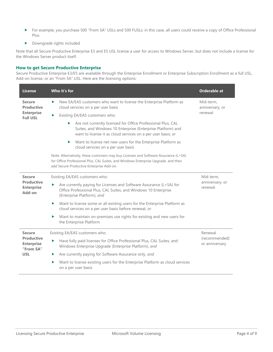- For example, you purchase 500 "From SA" USLs and 500 FUSLs: in this case, all users could receive a copy of Office Professional Plus.
- Downgrade rights included

Note that all Secure Productive Enterprise E3 and E5 USL license a user for access to Windows Server, but does not include a license for the Windows Server product itself.

#### **How to get Secure Productive Enterprise**

Secure Productive Enterprise E3/E5 are available through the Enterprise Enrollment or Enterprise Subscription Enrollment as a full USL, Add-on license, or an "From SA" USL. Here are the licensing options:

| <b>License</b>                                      | Who it's for                                                                                                                                                                                                          | Orderable at                            |
|-----------------------------------------------------|-----------------------------------------------------------------------------------------------------------------------------------------------------------------------------------------------------------------------|-----------------------------------------|
| <b>Secure</b><br><b>Productive</b>                  | New EA/EAS customers who want to license the Enterprise Platform as<br>ь<br>cloud services on a per user basis                                                                                                        | Mid-term,<br>anniversary, or            |
| <b>Enterprise</b><br><b>Full USL</b>                | Existing EA/EAS customers who:<br>▶                                                                                                                                                                                   | renewal                                 |
|                                                     | Are not currently licensed for Office Professional Plus, CAL<br>▶<br>Suites, and Windows 10 Enterprise (Enterprise Platform) and<br>want to license it as cloud services on a per user basis; or                      |                                         |
|                                                     | Want to license net new users for the Enterprise Platform as<br>Þ.<br>cloud services on a per user basis                                                                                                              |                                         |
|                                                     | Note: Alternatively, these customers may buy Licenses and Software Assurance (L+SA)<br>for Office Professional Plus, CAL Suites, and Windows Enterprise Upgrade, and then<br>add Secure Productive Enterprise Add-on. |                                         |
| <b>Secure</b>                                       | Existing EA/EAS customers who:                                                                                                                                                                                        | Mid-term,<br>anniversary, or<br>renewal |
| <b>Productive</b><br><b>Enterprise</b><br>Add-on    | Are currently paying for Licenses and Software Assurance (L+SA) for<br>▶<br>Office Professional Plus, CAL Suites, and Windows 10 Enterprise<br>(Enterprise Platform), and                                             |                                         |
|                                                     | Want to license some or all existing users for the Enterprise Platform as<br>▶<br>cloud services on a per user basis before renewal, or                                                                               |                                         |
|                                                     | Want to maintain on-premises use rights for existing and new users for<br>▶<br>the Enterprise Platform                                                                                                                |                                         |
| <b>Secure</b>                                       | Existing EA/EAS customers who:                                                                                                                                                                                        | Renewal                                 |
| <b>Productive</b><br><b>Enterprise</b><br>"From SA" | Have fully paid licenses for Office Professional Plus, CAL Suites, and<br>▶<br>Windows Enterprise Upgrade (Enterprise Platform), and                                                                                  | (recommended)<br>or anniversary         |
| <b>USL</b>                                          | Are currently paying for Software Assurance only, and                                                                                                                                                                 |                                         |
|                                                     | Want to license existing users for the Enterprise Platform as cloud services<br>▶<br>on a per user basis                                                                                                              |                                         |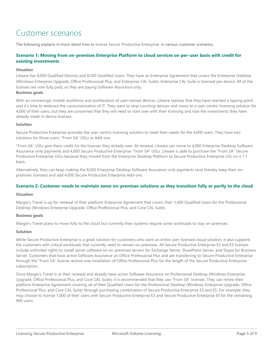### <span id="page-4-0"></span>Customer scenarios

The following explains in more detail how to license Secure Productive Enterprise in various customer scenarios.

#### **Scenario 1: Moving from on-premises Enterprise Platform to cloud services on per-user basis with credit for existing investments**

#### **Situation**

Litware has 8,000 Qualified Devices and 8,200 Qualified Users. They have an Enterprise Agreement that covers the Enterprise Desktop (Windows Enterprise Upgrade, Office Professional Plus, and Enterprise CAL Suite). Enterprise CAL Suite is licensed per device. All of the licenses are now fully paid, so they are paying Software Assurance only.

#### **Business goals**

With an increasingly mobile workforce and proliferation of user-owned devices, Litware realizes that they have reached a tipping point and it's time to embrace the consumerization of IT. They want to stop counting devices and move to a user-centric licensing solution for 4,000 of their users, but they are concerned that they will need to start over with their licensing and lose the investments they have already made in device licenses.

#### **Solution**

Secure Productive Enterprise provides the user-centric licensing solution to meet their needs for the 4,000 users. They have two solutions for those users: "From SA" USLs or Add-ons.

"From SA" USLs give them credit for the licenses they already own. At renewal, Litware can move to 4,000 Enterprise Desktop Software Assurance-only payments and 4,000 Secure Productive Enterprise "From SA" USLs. Litware is able to purchase the "From SA" Secure Productive Enterprise USLs because they moved from the Enterprise Desktop Platform to Secure Productive Enterprise USL on a 1:1 basis.

Alternatively, they can keep making the 8,000 Enterprise Desktop Software Assurance-only payments (and thereby keep their onpremises licenses) and add 4,000 Secure Productive Enterprise Add-ons.

#### **Scenario 2: Customer needs to maintain some on-premises solutions as they transition fully or partly to the cloud**

#### **Situation**

Margie's Travel is up for renewal of their platform Enterprise Agreement that covers their 1,400 Qualified Users for the Professional Desktop (Windows Enterprise Upgrade, Office Professional Plus, and Core CAL Suite).

#### **Business goals**

Margie's Travel plans to move fully to the cloud but currently their systems require some workloads to stay on-premises.

#### **Solution**

While Secure Productive Enterprise is a great solution for customers who want an entire user-licensed cloud solution, it also supports the customers with critical workloads that currently need to remain on-premises. All Secure Productive Enterprise E3 and E5 licenses include unlimited rights to install server software on on-premises servers for Exchange Server, SharePoint Server, and Skype for Business Server. Customers that have active Software Assurance on Office Professional Plus and are transferring to Secure Productive Enterprise through the "From SA" license receive one installation of Office Professional Plus for the length of the Secure Productive Enterprise subscription.

Since Margie's Travel is at their renewal and already have active Software Assurance on Professional Desktop (Windows Enterprise Upgrade, Office Professional Plus, and Core CAL Suite), it is recommended that they use "From SA" licenses. They can renew their platform Enterprise Agreement covering all of their Qualified Users for the Professional Desktop (Windows Enterprise Upgrade, Office Professional Plus, and Core CAL Suite) through purchasing combination of Secure Productive Enterprise E3 and E5. For example, they may choose to license 1,000 of their users with Secure Productive Enterprise E3 and Secure Productive Enterprise E5 for the remaining 400 users.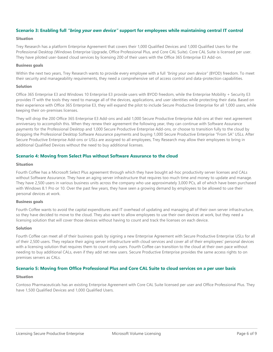#### **Scenario 3: Enabling full** *"bring your own device"* **support for employees while maintaining central IT control**

#### **Situation**

Trey Research has a platform Enterprise Agreement that covers their 1,000 Qualified Devices and 1,000 Qualified Users for the Professional Desktop (Windows Enterprise Upgrade, Office Professional Plus, and Core CAL Suite). Core CAL Suite is licensed per user. They have piloted user-based cloud services by licensing 200 of their users with the Office 365 Enterprise E3 Add-on.

#### **Business goals**

Within the next two years, Trey Research wants to provide every employee with a full *"bring your own device"* (BYOD) freedom. To meet their security and manageability requirements, they need a comprehensive set of access control and data-protection capabilities.

#### **Solution**

Office 365 Enterprise E3 and Windows 10 Enterprise E3 provide users with BYOD freedom, while the Enterprise Mobility + Security E3 provides IT with the tools they need to manage all of the devices, applications, and user identities while protecting their data. Based on their experience with Office 365 Enterprise E3, they will expand the pilot to include Secure Productive Enterprise for all 1,000 users, while keeping their on-premises licenses.

They will drop the 200 Office 365 Enterprise E3 Add-ons and add 1,000 Secure Productive Enterprise Add-ons at their next agreement anniversary to accomplish this. When they renew their agreement the following year, they can continue with Software Assurance payments for the Professional Desktop and 1,000 Secure Productive Enterprise Add-ons, or choose to transition fully to the cloud by dropping the Professional Desktop Software Assurance payments and buying 1,000 Secure Productive Enterprise "From SA" USLs. After Secure Productive Enterprise Add-ons or USLs are assigned to all employees, Trey Research may allow their employees to bring in additional Qualified Devices without the need to buy additional licenses.

#### **Scenario 4: Moving from Select Plus without Software Assurance to the cloud**

#### **Situation**

Fourth Coffee has a Microsoft Select Plus agreement through which they have bought ad-hoc productivity server licenses and CALs without Software Assurance. They have an aging server infrastructure that requires too much time and money to update and manage. They have 2,500 users in various business units across the company who use approximately 3,000 PCs, all of which have been purchased with Windows 8.1 Pro or 10. Over the past few years, they have seen a growing demand by employees to be allowed to use their personal devices at work.

#### **Business goals**

Fourth Coffee wants to avoid the capital expenditures and IT overhead of updating and managing all of their own server infrastructure, so they have decided to move to the cloud. They also want to allow employees to use their own devices at work, but they need a licensing solution that will cover those devices without having to count and track the licenses on each device.

#### **Solution**

Fourth Coffee can meet all of their business goals by signing a new Enterprise Agreement with Secure Productive Enterprise USLs for all of their 2,500 users. They replace their aging server infrastructure with cloud services and cover all of their employees' personal devices with a licensing solution that requires them to count only users. Fourth Coffee can transition to the cloud at their own pace without needing to buy additional CALs, even if they add net new users. Secure Productive Enterprise provides the same access rights to on premises servers as CALs.

#### **Scenario 5: Moving from Office Professional Plus and Core CAL Suite to cloud services on a per user basis**

#### **Situation**

Contoso Pharmaceuticals has an existing Enterprise Agreement with Core CAL Suite licensed per user and Office Professional Plus. They have 1,500 Qualified Devices and 1,000 Qualified Users.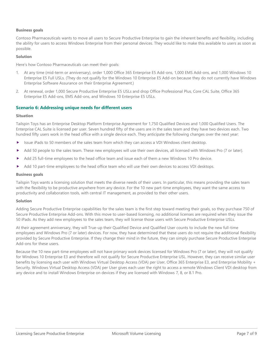#### **Business goals**

Contoso Pharmaceuticals wants to move all users to Secure Productive Enterprise to gain the inherent benefits and flexibility, including the ability for users to access Windows Enterprise from their personal devices. They would like to make this available to users as soon as possible.

#### **Solution**

Here's how Contoso Pharmaceuticals can meet their goals:

- 1. At any time (mid-term or anniversary), order 1,000 Office 365 Enterprise E5 Add-ons, 1,000 EMS Add-ons, and 1,000 Windows 10 Enterprise E5 Full USLs. (They do not qualify for the Windows 10 Enterprise E5 Add-on because they do not currently have Windows Enterprise Software Assurance on their Enterprise Agreement.)
- 2. At renewal, order 1,000 Secure Productive Enterprise E5 USLs and drop Office Professional Plus, Core CAL Suite, Office 365 Enterprise E5 Add-ons, EMS Add-ons, and Windows 10 Enterprise E5 USLs.

#### **Scenario 6: Addressing unique needs for different users**

#### **Situation**

Tailspin Toys has an Enterprise Desktop Platform Enterprise Agreement for 1,750 Qualified Devices and 1,000 Qualified Users. The Enterprise CAL Suite is licensed per user. Seven hundred fifty of the users are in the sales team and they have two devices each. Two hundred fifty users work in the head office with a single device each. They anticipate the following changes over the next year:

- ▶ Issue iPads to 50 members of the sales team from which they can access a VDI Windows client desktop.
- Add 50 people to the sales team. These new employees will use their own devices, all licensed with Windows Pro (7 or later).
- Add 25 full-time employees to the head office team and issue each of them a new Windows 10 Pro device.
- Add 10 part-time employees to the head office team who will use their own devices to access VDI desktops.

#### **Business goals**

Tailspin Toys wants a licensing solution that meets the diverse needs of their users. In particular, this means providing the sales team with the flexibility to be productive anywhere from any device. For the 10 new part-time employees, they want the same access to productivity and collaboration tools, with central IT management, as provided to their other users.

#### **Solution**

Adding Secure Productive Enterprise capabilities for the sales team is the first step toward meeting their goals, so they purchase 750 of Secure Productive Enterprise Add-ons. With this move to user-based licensing, no additional licenses are required when they issue the 50 iPads. As they add new employees to the sales team, they will license those users with Secure Productive Enterprise USLs.

At their agreement anniversary, they will True-up their Qualified Device and Qualified User counts to include the new full-time employees and Windows Pro (7 or later) devices. For now, they have determined that these users do not require the additional flexibility provided by Secure Productive Enterprise. If they change their mind in the future, they can simply purchase Secure Productive Enterprise Add-ons for these users.

Because the 10 new part-time employees will not have primary work devices licensed for Windows Pro (7 or later), they will not qualify for Windows 10 Enterprise E3 and therefore will not qualify for Secure Productive Enterprise USL. However, they can receive similar user benefits by licensing each user with Windows Virtual Desktop Access (VDA) per User, Office 365 Enterprise E3, and Enterprise Mobility + Security. Windows Virtual Desktop Access (VDA) per User gives each user the right to access a remote Windows Client VDI desktop from any device and to install Windows Enterprise on devices if they are licensed with Windows 7, 8, or 8.1 Pro.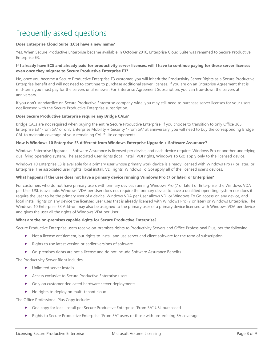### <span id="page-7-0"></span>Frequently asked questions

#### **Does Enterprise Cloud Suite (ECS) have a new name?**

Yes. When Secure Productive Enterprise became available in October 2016, Enterprise Cloud Suite was renamed to Secure Productive Enterprise E3.

#### **If I already have ECS and already paid for productivity server licenses, will I have to continue paying for those server licenses even once they migrate to Secure Productive Enterprise E3?**

No, once you become a Secure Productive Enterprise E3 customer, you will inherit the Productivity Server Rights as a Secure Productive Enterprise benefit and will not need to continue to purchase additional server licenses. If you are on an Enterprise Agreement that is mid-term, you must pay for the servers until renewal. For Enterprise Agreement Subscription, you can true-down the servers at anniversary.

If you don't standardize on Secure Productive Enterprise company-wide, you may still need to purchase server licenses for your users not licensed with the Secure Productive Enterprise subscription.

#### **Does Secure Productive Enterprise require any Bridge CALs?**

Bridge CALs are not required when buying the entire Secure Productive Enterprise. If you choose to transition to only Office 365 Enterprise E3 "From SA" or only Enterprise Mobility + Security "From SA" at anniversary, you will need to buy the corresponding Bridge CAL to maintain coverage of your remaining CAL Suite components.

#### **How is Windows 10 Enterprise E3 different from Windows Enterprise Upgrade + Software Assurance?**

Windows Enterprise Upgrade + Software Assurance is licensed per device, and each device requires Windows Pro or another underlying qualifying operating system. The associated user rights (local install, VDI rights, Windows To Go) apply only to the licensed device.

Windows 10 Enterprise E3 is available for a primary user whose primary work device is already licensed with Windows Pro (7 or later) or Enterprise. The associated user rights (local install, VDI rights, Windows To Go) apply all of the licensed user's devices.

#### **What happens if the user does not have a primary device running Windows Pro (7 or later) or Enterprise?**

For customers who do not have primary users with primary devices running Windows Pro (7 or later) or Enterprise, the Windows VDA per User USL is available. Windows VDA per User does not require the primary device to have a qualified operating system nor does it require the user to be the primary user of a device. Windows VDA per User allows VDI or Windows To Go access on any device, and local install rights on any device the licensed user uses that is already licensed with Windows Pro (7 or later) or Windows Enterprise. The Windows 10 Enterprise E3 Add-on may also be assigned to the primary user of a primary device licensed with Windows VDA per device and gives the user all the rights of Windows VDA per User.

#### **What are the on-premises capable rights for Secure Productive Enterprise?**

Secure Productive Enterprise users receive on-premises rights to Productivity Servers and Office Professional Plus, per the following:

- Not a license entitlement, but rights to install and use server and client software for the term of subscription
- $\blacktriangleright$  Rights to use latest version or earlier versions of software
- On-premises rights are not a license and do not include Software Assurance Benefits

The Productivity Server Right includes:

- **Demonstrally** Unlimited server installs
- Access exclusive to Secure Productive Enterprise users
- Only on customer dedicated hardware server deployments
- No rights to deploy on multi-tenant cloud

The Office Professional Plus Copy includes:

- One copy for local install per Secure Productive Enterprise "From SA" USL purchased
- Rights to Secure Productive Enterprise "From SA" users or those with pre-existing SA coverage